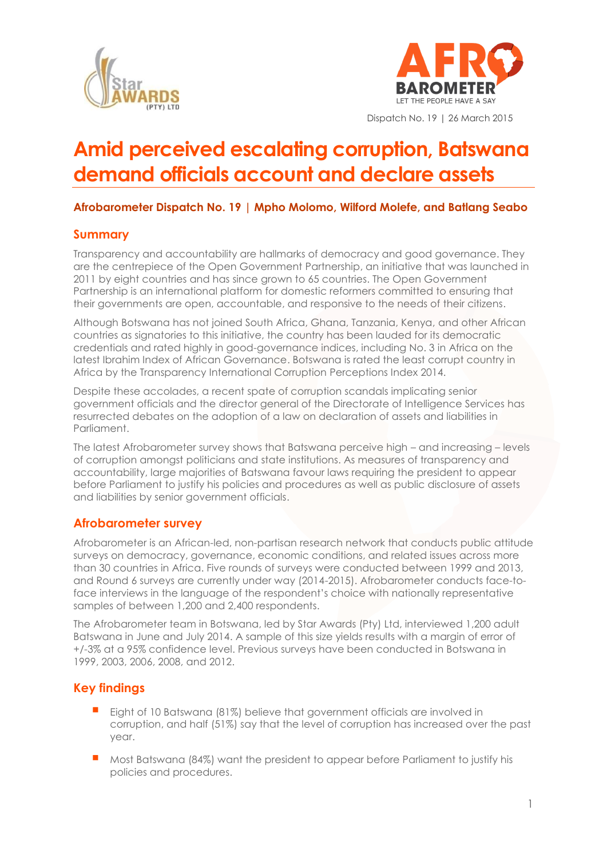



Dispatch No. 19 | 26 March 2015

# **Amid perceived escalating corruption, Batswana demand officials account and declare assets**

# **Afrobarometer Dispatch No. 19 | Mpho Molomo, Wilford Molefe, and Batlang Seabo**

# **Summary**

Transparency and accountability are hallmarks of democracy and good governance. They are the centrepiece of the Open Government Partnership, an initiative that was launched in 2011 by eight countries and has since grown to 65 countries. The Open Government Partnership is an international platform for domestic reformers committed to ensuring that their governments are open, accountable, and responsive to the needs of their citizens.

Although Botswana has not joined South Africa, Ghana, Tanzania, Kenya, and other African countries as signatories to this initiative, the country has been lauded for its democratic credentials and rated highly in good-governance indices, including No. 3 in Africa on the latest Ibrahim Index of African Governance. Botswana is rated the least corrupt country in Africa by the Transparency International Corruption Perceptions Index 2014.

Despite these accolades, a recent spate of corruption scandals implicating senior government officials and the director general of the Directorate of Intelligence Services has resurrected debates on the adoption of a law on declaration of assets and liabilities in Parliament.

The latest Afrobarometer survey shows that Batswana perceive high – and increasing – levels of corruption amongst politicians and state institutions. As measures of transparency and accountability, large majorities of Batswana favour laws requiring the president to appear before Parliament to justify his policies and procedures as well as public disclosure of assets and liabilities by senior government officials.

## **Afrobarometer survey**

Afrobarometer is an African-led, non-partisan research network that conducts public attitude surveys on democracy, governance, economic conditions, and related issues across more than 30 countries in Africa. Five rounds of surveys were conducted between 1999 and 2013, and Round 6 surveys are currently under way (2014-2015). Afrobarometer conducts face-toface interviews in the language of the respondent's choice with nationally representative samples of between 1,200 and 2,400 respondents.

The Afrobarometer team in Botswana, led by Star Awards (Pty) Ltd, interviewed 1,200 adult Batswana in June and July 2014. A sample of this size yields results with a margin of error of +/-3% at a 95% confidence level. Previous surveys have been conducted in Botswana in 1999, 2003, 2006, 2008, and 2012.

# **Key findings**

- Eight of 10 Batswana (81%) believe that government officials are involved in corruption, and half (51%) say that the level of corruption has increased over the past year.
- Most Batswana (84%) want the president to appear before Parliament to justify his policies and procedures.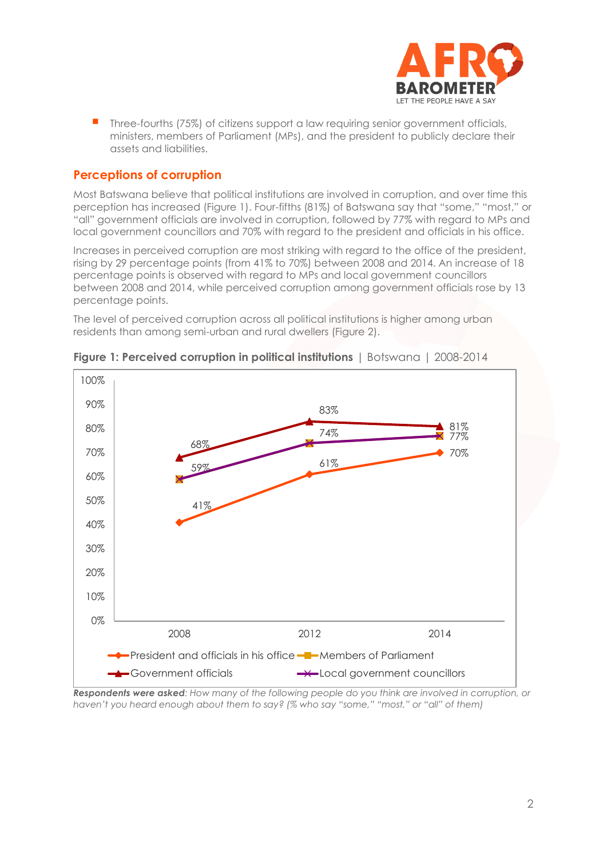

**Three-fourths (75%) of citizens support a law requiring senior government officials,** ministers, members of Parliament (MPs), and the president to publicly declare their assets and liabilities.

# **Perceptions of corruption**

Most Batswana believe that political institutions are involved in corruption, and over time this perception has increased (Figure 1). Four-fifths (81%) of Batswana say that "some," "most," or "all" government officials are involved in corruption, followed by 77% with regard to MPs and local government councillors and 70% with regard to the president and officials in his office.

Increases in perceived corruption are most striking with regard to the office of the president, rising by 29 percentage points (from 41% to 70%) between 2008 and 2014. An increase of 18 percentage points is observed with regard to MPs and local government councillors between 2008 and 2014, while perceived corruption among government officials rose by 13 percentage points.

The level of perceived corruption across all political institutions is higher among urban residents than among semi-urban and rural dwellers (Figure 2).





*Respondents were asked: How many of the following people do you think are involved in corruption, or haven't you heard enough about them to say? (% who say "some," "most," or "all" of them)*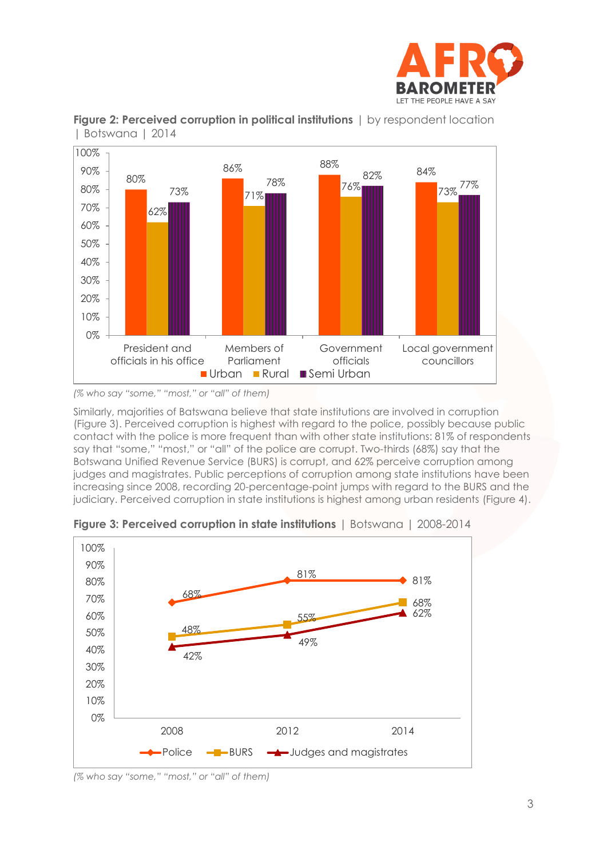





*(% who say "some," "most," or "all" of them)*

Similarly, majorities of Batswana believe that state institutions are involved in corruption (Figure 3). Perceived corruption is highest with regard to the police, possibly because public contact with the police is more frequent than with other state institutions: 81% of respondents say that "some," "most," or "all" of the police are corrupt. Two-thirds (68%) say that the Botswana Unified Revenue Service (BURS) is corrupt, and 62% perceive corruption among judges and magistrates. Public perceptions of corruption among state institutions have been increasing since 2008, recording 20-percentage-point jumps with regard to the BURS and the judiciary. Perceived corruption in state institutions is highest among urban residents (Figure 4).



**Figure 3: Perceived corruption in state institutions** | Botswana | 2008-2014

*(% who say "some," "most," or "all" of them)*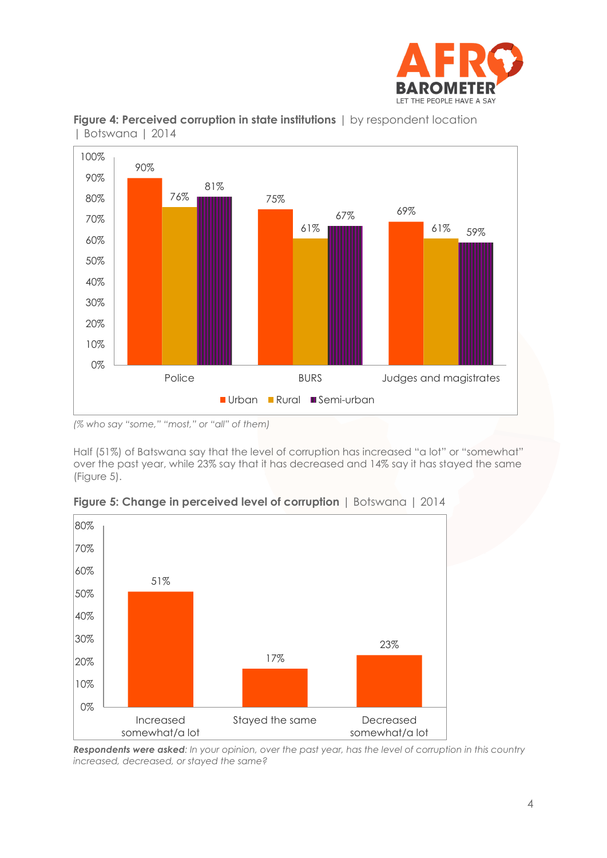





*(% who say "some," "most," or "all" of them)*

Half (51%) of Batswana say that the level of corruption has increased "a lot" or "somewhat" over the past year, while 23% say that it has decreased and 14% say it has stayed the same (Figure 5).



**Figure 5: Change in perceived level of corruption** | Botswana | 2014

*Respondents were asked: In your opinion, over the past year, has the level of corruption in this country increased, decreased, or stayed the same?*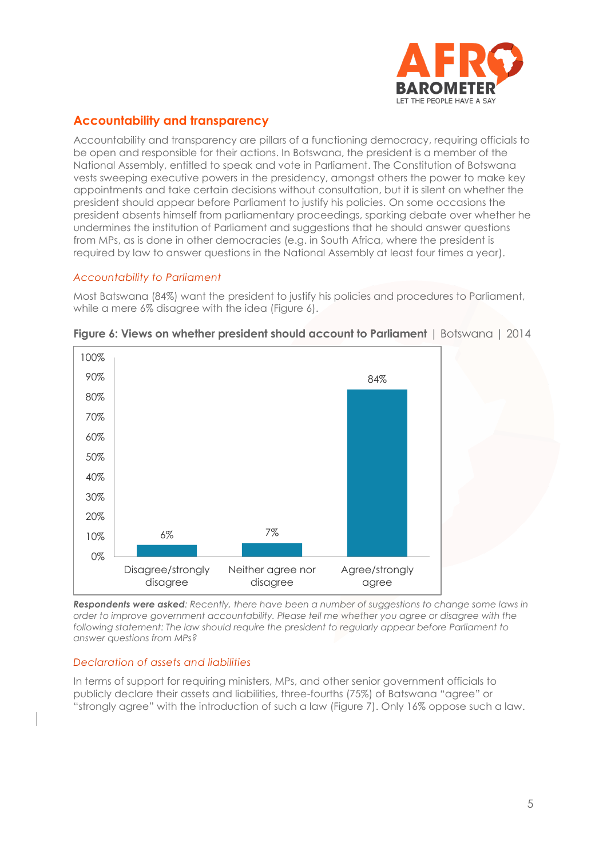

# **Accountability and transparency**

Accountability and transparency are pillars of a functioning democracy, requiring officials to be open and responsible for their actions. In Botswana, the president is a member of the National Assembly, entitled to speak and vote in Parliament. The Constitution of Botswana vests sweeping executive powers in the presidency, amongst others the power to make key appointments and take certain decisions without consultation, but it is silent on whether the president should appear before Parliament to justify his policies. On some occasions the president absents himself from parliamentary proceedings, sparking debate over whether he undermines the institution of Parliament and suggestions that he should answer questions from MPs, as is done in other democracies (e.g. in South Africa, where the president is required by law to answer questions in the National Assembly at least four times a year).

## *Accountability to Parliament*

Most Batswana (84%) want the president to justify his policies and procedures to Parliament, while a mere 6% disagree with the idea (Figure 6).



**Figure 6: Views on whether president should account to Parliament** | Botswana | 2014

*Respondents were asked: Recently, there have been a number of suggestions to change some laws in order to improve government accountability. Please tell me whether you agree or disagree with the following statement: The law should require the president to regularly appear before Parliament to answer questions from MPs?*

#### *Declaration of assets and liabilities*

In terms of support for requiring ministers, MPs, and other senior government officials to publicly declare their assets and liabilities, three-fourths (75%) of Batswana "agree" or "strongly agree" with the introduction of such a law (Figure 7). Only 16% oppose such a law.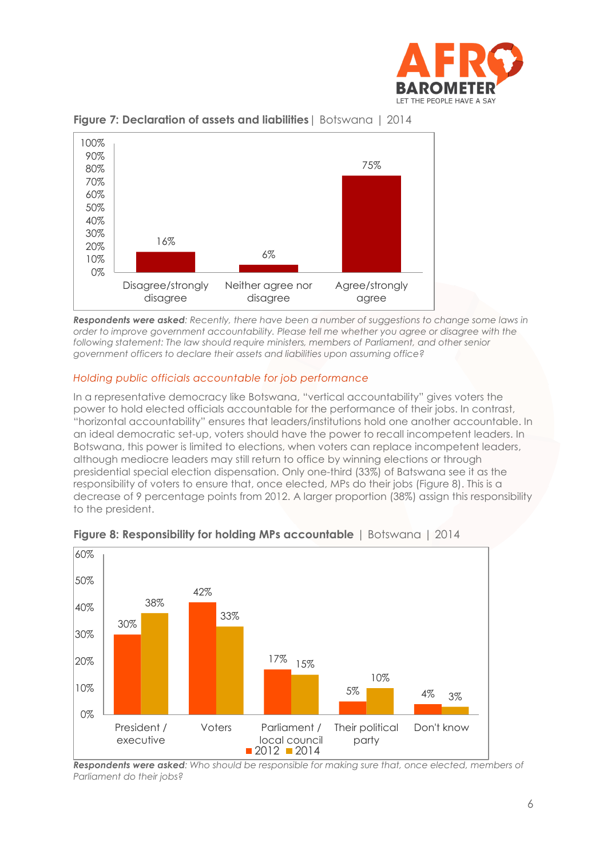



#### **Figure 7: Declaration of assets and liabilities**| Botswana | 2014

*Respondents were asked: Recently, there have been a number of suggestions to change some laws in order to improve government accountability. Please tell me whether you agree or disagree with the following statement: The law should require ministers, members of Parliament, and other senior government officers to declare their assets and liabilities upon assuming office?*

### *Holding public officials accountable for job performance*

In a representative democracy like Botswana, "vertical accountability" gives voters the power to hold elected officials accountable for the performance of their jobs. In contrast, "horizontal accountability" ensures that leaders/institutions hold one another accountable. In an ideal democratic set-up, voters should have the power to recall incompetent leaders. In Botswana, this power is limited to elections, when voters can replace incompetent leaders, although mediocre leaders may still return to office by winning elections or through presidential special election dispensation. Only one-third (33%) of Batswana see it as the responsibility of voters to ensure that, once elected, MPs do their jobs (Figure 8). This is a decrease of 9 percentage points from 2012. A larger proportion (38%) assign this responsibility to the president.



## **Figure 8: Responsibility for holding MPs accountable** | Botswana | 2014

*Respondents were asked: Who should be responsible for making sure that, once elected, members of Parliament do their jobs?*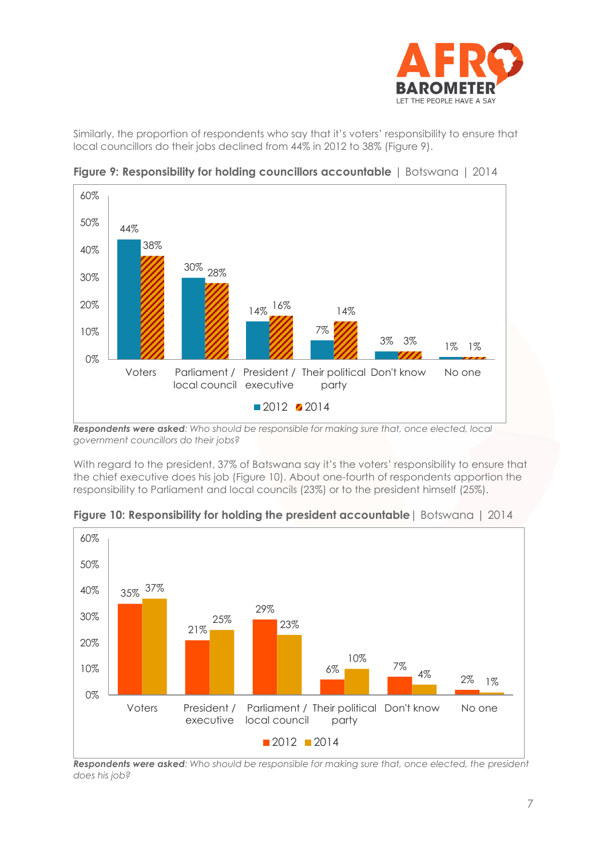

Similarly, the proportion of respondents who say that it's voters' responsibility to ensure that local councillors do their jobs declined from 44% in 2012 to 38% (Figure 9).



**Figure 9: Responsibility for holding councillors accountable** | Botswana | 2014

*Respondents were asked: Who should be responsible for making sure that, once elected, local government councillors do their jobs?*

With regard to the president, 37% of Batswana say it's the voters' responsibility to ensure that the chief executive does his job (Figure 10). About one-fourth of respondents apportion the responsibility to Parliament and local councils (23%) or to the president himself (25%).



**Figure 10: Responsibility for holding the president accountable**| Botswana | 2014

*Respondents were asked: Who should be responsible for making sure that, once elected, the president does his job?*